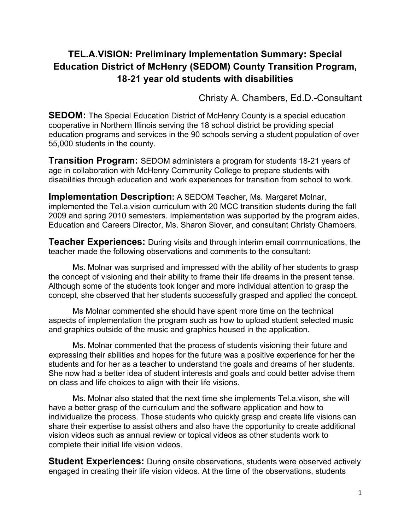# **TEL.A.VISION: Preliminary Implementation Summary: Special Education District of McHenry (SEDOM) County Transition Program, 18-21 year old students with disabilities**

Christy A. Chambers, Ed.D.-Consultant

**SEDOM:** The Special Education District of McHenry County is a special education cooperative in Northern Illinois serving the 18 school district be providing special education programs and services in the 90 schools serving a student population of over 55,000 students in the county.

**Transition Program:** SEDOM administers a program for students 18-21 years of age in collaboration with McHenry Community College to prepare students with disabilities through education and work experiences for transition from school to work.

**Implementation Description:** A SEDOM Teacher, Ms. Margaret Molnar, implemented the Tel.a.vision curriculum with 20 MCC transition students during the fall 2009 and spring 2010 semesters. Implementation was supported by the program aides, Education and Careers Director, Ms. Sharon Slover, and consultant Christy Chambers.

**Teacher Experiences:** During visits and through interim email communications, the teacher made the following observations and comments to the consultant:

Ms. Molnar was surprised and impressed with the ability of her students to grasp the concept of visioning and their ability to frame their life dreams in the present tense. Although some of the students took longer and more individual attention to grasp the concept, she observed that her students successfully grasped and applied the concept.

Ms Molnar commented she should have spent more time on the technical aspects of implementation the program such as how to upload student selected music and graphics outside of the music and graphics housed in the application.

Ms. Molnar commented that the process of students visioning their future and expressing their abilities and hopes for the future was a positive experience for her the students and for her as a teacher to understand the goals and dreams of her students. She now had a better idea of student interests and goals and could better advise them on class and life choices to align with their life visions.

Ms. Molnar also stated that the next time she implements Tel.a.viison, she will have a better grasp of the curriculum and the software application and how to individualize the process. Those students who quickly grasp and create life visions can share their expertise to assist others and also have the opportunity to create additional vision videos such as annual review or topical videos as other students work to complete their initial life vision videos.

**Student Experiences:** During onsite observations, students were observed actively engaged in creating their life vision videos. At the time of the observations, students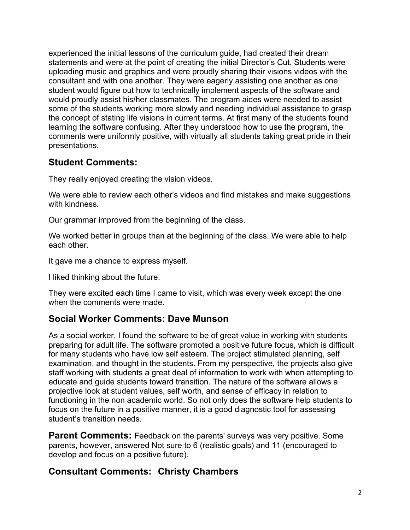experienced the initial lessons of the curriculum guide, had created their dream statements and were at the point of creating the initial Director's Cut. Students were uploading music and graphics and were proudly sharing their visions videos with the consultant and with one another. They were eagerly assisting one another as one student would figure out how to technically implement aspects of the software and would proudly assist his/her classmates. The program aides were needed to assist some of the students working more slowly and needing individual assistance to grasp the concept of stating life visions in current terms. At first many of the students found learning the software confusing. After they understood how to use the program, the comments were uniformly positive, with virtually all students taking great pride in their presentations.

### **Student Comments:**

They really enjoyed creating the vision videos.

We were able to review each other's videos and find mistakes and make suggestions with kindness.

Our grammar improved from the beginning of the class.

We worked better in groups than at the beginning of the class. We were able to help each other.

It gave me a chance to express myself.

I liked thinking about the future.

They were excited each time I came to visit, which was every week except the one when the comments were made.

### **Social Worker Comments: Dave Munson**

As a social worker, I found the software to be of great value in working with students preparing for adult life. The software promoted a positive future focus, which is difficult for many students who have low self esteem. The project stimulated planning, self examination, and thought in the students. From my perspective, the projects also give staff working with students a great deal of information to work with when attempting to educate and guide students toward transition. The nature of the software allows a projective look at student values, self worth, and sense of efficacy in relation to functioning in the non academic world. So not only does the software help students to focus on the future in a positive manner, it is a good diagnostic tool for assessing student's transition needs.

**Parent Comments:** Feedback on the parents' surveys was very positive. Some parents, however, answered Not sure to 6 (realistic goals) and 11 (encouraged to develop and focus on a positive future).

## **Consultant Comments: Christy Chambers**